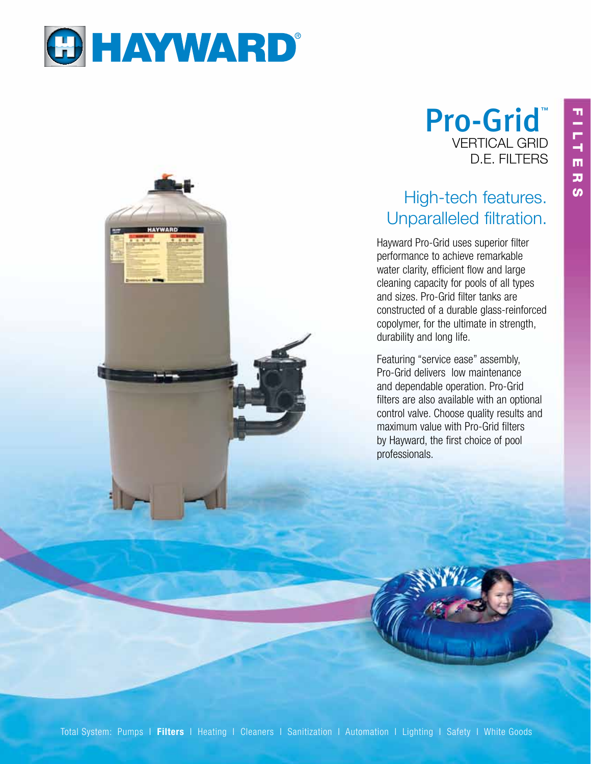

# Pro-Grid VERTICAL GRID D.E. FILTERS

## High-tech features. Unparalleled filtration.

Hayward Pro-Grid uses superior filter performance to achieve remarkable water clarity, efficient flow and large cleaning capacity for pools of all types and sizes. Pro-Grid filter tanks are constructed of a durable glass-reinforced copolymer, for the ultimate in strength, durability and long life.

Featuring "service ease" assembly, Pro-Grid delivers low maintenance and dependable operation. Pro-Grid filters are also available with an optional control valve. Choose quality results and maximum value with Pro-Grid filters by Hayward, the first choice of pool professionals.

Total System: Pumps | Filters | Heating | Cleaners | Sanitization | Automation | Lighting | Safety | White Goods